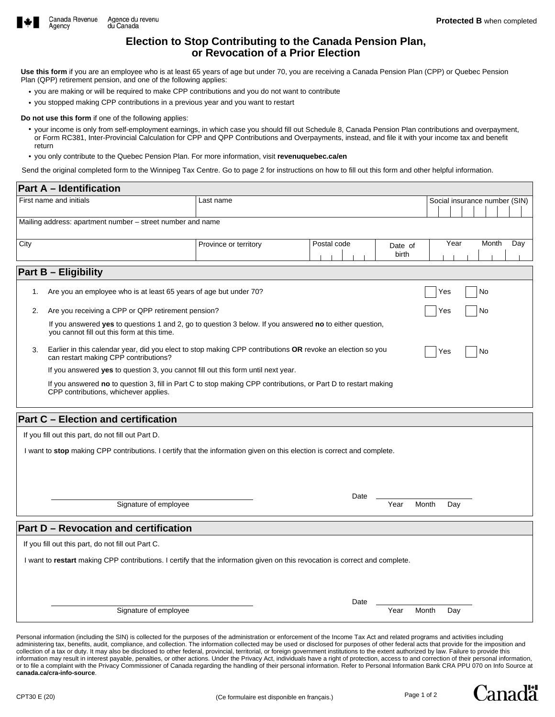

# **Election to Stop Contributing to the Canada Pension Plan, or Revocation of a Prior Election**

**Use this form** if you are an employee who is at least 65 years of age but under 70, you are receiving a Canada Pension Plan (CPP) or Quebec Pension Plan (QPP) retirement pension, and one of the following applies:

- you are making or will be required to make CPP contributions and you do not want to contribute
- you stopped making CPP contributions in a previous year and you want to restart

#### **Do not use this form** if one of the following applies:

- your income is only from self-employment earnings, in which case you should fill out Schedule 8, Canada Pension Plan contributions and overpayment, or Form RC381, Inter-Provincial Calculation for CPP and QPP Contributions and Overpayments, instead, and file it with your income tax and benefit return
- you only contribute to the Quebec Pension Plan. For more information, visit **revenuquebec.ca/en**

Send the original completed form to the Winnipeg Tax Centre. Go to page 2 for instructions on how to fill out this form and other helpful information.

| First name and initials<br>Last name<br>Social insurance number (SIN)<br>Mailing address: apartment number – street number and name<br>Year<br>Month<br>City<br>Postal code<br>Day<br>Province or territory<br>Date of<br>birth<br><b>Part B - Eligibility</b><br>Are you an employee who is at least 65 years of age but under 70?<br>No<br>Yes<br>1.<br>Are you receiving a CPP or QPP retirement pension?<br>2.<br>Yes<br>No<br>If you answered yes to questions 1 and 2, go to question 3 below. If you answered no to either question,<br>you cannot fill out this form at this time.<br>Earlier in this calendar year, did you elect to stop making CPP contributions OR revoke an election so you<br>3.<br>Yes<br>No<br>can restart making CPP contributions?<br>If you answered yes to question 3, you cannot fill out this form until next year.<br>If you answered no to question 3, fill in Part C to stop making CPP contributions, or Part D to restart making<br>CPP contributions, whichever applies.<br><b>Part C - Election and certification</b><br>If you fill out this part, do not fill out Part D.<br>I want to stop making CPP contributions. I certify that the information given on this election is correct and complete.<br>Date<br>Signature of employee<br>Year<br>Month<br>Day<br><b>Part D - Revocation and certification</b><br>If you fill out this part, do not fill out Part C.<br>I want to restart making CPP contributions. I certify that the information given on this revocation is correct and complete. |  | <b>Part A - Identification</b> |  |  |  |  |  |  |  |
|----------------------------------------------------------------------------------------------------------------------------------------------------------------------------------------------------------------------------------------------------------------------------------------------------------------------------------------------------------------------------------------------------------------------------------------------------------------------------------------------------------------------------------------------------------------------------------------------------------------------------------------------------------------------------------------------------------------------------------------------------------------------------------------------------------------------------------------------------------------------------------------------------------------------------------------------------------------------------------------------------------------------------------------------------------------------------------------------------------------------------------------------------------------------------------------------------------------------------------------------------------------------------------------------------------------------------------------------------------------------------------------------------------------------------------------------------------------------------------------------------------------------------------------------------|--|--------------------------------|--|--|--|--|--|--|--|
|                                                                                                                                                                                                                                                                                                                                                                                                                                                                                                                                                                                                                                                                                                                                                                                                                                                                                                                                                                                                                                                                                                                                                                                                                                                                                                                                                                                                                                                                                                                                                    |  |                                |  |  |  |  |  |  |  |
|                                                                                                                                                                                                                                                                                                                                                                                                                                                                                                                                                                                                                                                                                                                                                                                                                                                                                                                                                                                                                                                                                                                                                                                                                                                                                                                                                                                                                                                                                                                                                    |  |                                |  |  |  |  |  |  |  |
|                                                                                                                                                                                                                                                                                                                                                                                                                                                                                                                                                                                                                                                                                                                                                                                                                                                                                                                                                                                                                                                                                                                                                                                                                                                                                                                                                                                                                                                                                                                                                    |  |                                |  |  |  |  |  |  |  |
|                                                                                                                                                                                                                                                                                                                                                                                                                                                                                                                                                                                                                                                                                                                                                                                                                                                                                                                                                                                                                                                                                                                                                                                                                                                                                                                                                                                                                                                                                                                                                    |  |                                |  |  |  |  |  |  |  |
|                                                                                                                                                                                                                                                                                                                                                                                                                                                                                                                                                                                                                                                                                                                                                                                                                                                                                                                                                                                                                                                                                                                                                                                                                                                                                                                                                                                                                                                                                                                                                    |  |                                |  |  |  |  |  |  |  |
|                                                                                                                                                                                                                                                                                                                                                                                                                                                                                                                                                                                                                                                                                                                                                                                                                                                                                                                                                                                                                                                                                                                                                                                                                                                                                                                                                                                                                                                                                                                                                    |  |                                |  |  |  |  |  |  |  |
|                                                                                                                                                                                                                                                                                                                                                                                                                                                                                                                                                                                                                                                                                                                                                                                                                                                                                                                                                                                                                                                                                                                                                                                                                                                                                                                                                                                                                                                                                                                                                    |  |                                |  |  |  |  |  |  |  |
|                                                                                                                                                                                                                                                                                                                                                                                                                                                                                                                                                                                                                                                                                                                                                                                                                                                                                                                                                                                                                                                                                                                                                                                                                                                                                                                                                                                                                                                                                                                                                    |  |                                |  |  |  |  |  |  |  |
|                                                                                                                                                                                                                                                                                                                                                                                                                                                                                                                                                                                                                                                                                                                                                                                                                                                                                                                                                                                                                                                                                                                                                                                                                                                                                                                                                                                                                                                                                                                                                    |  |                                |  |  |  |  |  |  |  |
|                                                                                                                                                                                                                                                                                                                                                                                                                                                                                                                                                                                                                                                                                                                                                                                                                                                                                                                                                                                                                                                                                                                                                                                                                                                                                                                                                                                                                                                                                                                                                    |  |                                |  |  |  |  |  |  |  |
|                                                                                                                                                                                                                                                                                                                                                                                                                                                                                                                                                                                                                                                                                                                                                                                                                                                                                                                                                                                                                                                                                                                                                                                                                                                                                                                                                                                                                                                                                                                                                    |  |                                |  |  |  |  |  |  |  |
|                                                                                                                                                                                                                                                                                                                                                                                                                                                                                                                                                                                                                                                                                                                                                                                                                                                                                                                                                                                                                                                                                                                                                                                                                                                                                                                                                                                                                                                                                                                                                    |  |                                |  |  |  |  |  |  |  |
|                                                                                                                                                                                                                                                                                                                                                                                                                                                                                                                                                                                                                                                                                                                                                                                                                                                                                                                                                                                                                                                                                                                                                                                                                                                                                                                                                                                                                                                                                                                                                    |  |                                |  |  |  |  |  |  |  |
|                                                                                                                                                                                                                                                                                                                                                                                                                                                                                                                                                                                                                                                                                                                                                                                                                                                                                                                                                                                                                                                                                                                                                                                                                                                                                                                                                                                                                                                                                                                                                    |  |                                |  |  |  |  |  |  |  |
|                                                                                                                                                                                                                                                                                                                                                                                                                                                                                                                                                                                                                                                                                                                                                                                                                                                                                                                                                                                                                                                                                                                                                                                                                                                                                                                                                                                                                                                                                                                                                    |  |                                |  |  |  |  |  |  |  |
|                                                                                                                                                                                                                                                                                                                                                                                                                                                                                                                                                                                                                                                                                                                                                                                                                                                                                                                                                                                                                                                                                                                                                                                                                                                                                                                                                                                                                                                                                                                                                    |  |                                |  |  |  |  |  |  |  |
|                                                                                                                                                                                                                                                                                                                                                                                                                                                                                                                                                                                                                                                                                                                                                                                                                                                                                                                                                                                                                                                                                                                                                                                                                                                                                                                                                                                                                                                                                                                                                    |  |                                |  |  |  |  |  |  |  |
|                                                                                                                                                                                                                                                                                                                                                                                                                                                                                                                                                                                                                                                                                                                                                                                                                                                                                                                                                                                                                                                                                                                                                                                                                                                                                                                                                                                                                                                                                                                                                    |  |                                |  |  |  |  |  |  |  |
|                                                                                                                                                                                                                                                                                                                                                                                                                                                                                                                                                                                                                                                                                                                                                                                                                                                                                                                                                                                                                                                                                                                                                                                                                                                                                                                                                                                                                                                                                                                                                    |  |                                |  |  |  |  |  |  |  |
|                                                                                                                                                                                                                                                                                                                                                                                                                                                                                                                                                                                                                                                                                                                                                                                                                                                                                                                                                                                                                                                                                                                                                                                                                                                                                                                                                                                                                                                                                                                                                    |  |                                |  |  |  |  |  |  |  |
|                                                                                                                                                                                                                                                                                                                                                                                                                                                                                                                                                                                                                                                                                                                                                                                                                                                                                                                                                                                                                                                                                                                                                                                                                                                                                                                                                                                                                                                                                                                                                    |  |                                |  |  |  |  |  |  |  |
| Date<br>Signature of employee<br>Year<br>Month<br>Day                                                                                                                                                                                                                                                                                                                                                                                                                                                                                                                                                                                                                                                                                                                                                                                                                                                                                                                                                                                                                                                                                                                                                                                                                                                                                                                                                                                                                                                                                              |  |                                |  |  |  |  |  |  |  |
|                                                                                                                                                                                                                                                                                                                                                                                                                                                                                                                                                                                                                                                                                                                                                                                                                                                                                                                                                                                                                                                                                                                                                                                                                                                                                                                                                                                                                                                                                                                                                    |  |                                |  |  |  |  |  |  |  |

Personal information (including the SIN) is collected for the purposes of the administration or enforcement of the Income Tax Act and related programs and activities including administering tax, benefits, audit, compliance, and collection. The information collected may be used or disclosed for purposes of other federal acts that provide for the imposition and collection of a tax or duty. It may also be disclosed to other federal, provincial, territorial, or foreign government institutions to the extent authorized by law. Failure to provide this information may result in interest payable, penalties, or other actions. Under the Privacy Act, individuals have a right of protection, access to and correction of their personal information, or to file a complaint with the Privacy Commissioner of Canada regarding the handling of their personal information. Refer to Personal Information Bank CRA PPU 070 on Info Source at **canada.ca/cra-info-source**.

**Lanada**